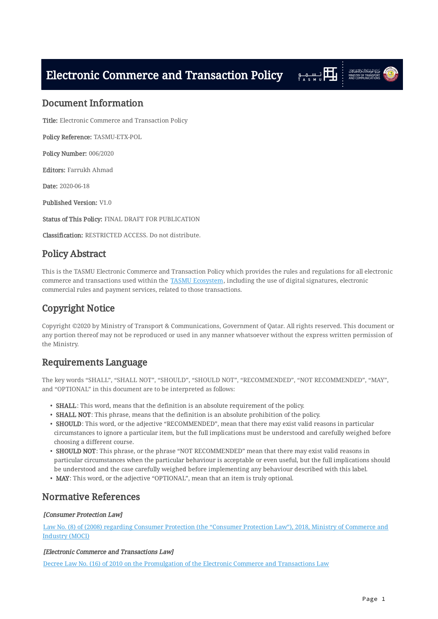<span id="page-0-0"></span>Electronic Commerce and Transaction Policy Fire High States





### <span id="page-0-1"></span>Document Information

Title: Electronic Commerce and Transaction Policy

Policy Reference: TASMU-ETX-POL

Policy Number: 006/2020

Editors: Farrukh Ahmad

Date: 2020-06-18

Published Version: V1.0

Status of This Policy: FINAL DRAFT FOR PUBLICATION

Classification: RESTRICTED ACCESS. Do not distribute.

# <span id="page-0-2"></span>Policy Abstract

This is the TASMU Electronic Commerce and Transaction Policy which provides the rules and regulations for all electronic commerce and transactions used within the [TASMU Ecosystem,](#page-3-0) including the use of digital signatures, electronic commercial rules and payment services, related to those transactions.

# <span id="page-0-3"></span>Copyright Notice

Copyright ©2020 by Ministry of Transport & Communications, Government of Qatar. All rights reserved. This document or any portion thereof may not be reproduced or used in any manner whatsoever without the express written permission of the Ministry.

# <span id="page-0-4"></span>Requirements Language

The key words "SHALL", "SHALL NOT", "SHOULD", "SHOULD NOT", "RECOMMENDED", "NOT RECOMMENDED", "MAY", and "OPTIONAL" in this document are to be interpreted as follows:

- <span id="page-0-6"></span>• **SHALL**: This word, means that the definition is an absolute requirement of the policy.
- **SHALL NOT**: This phrase, means that the definition is an absolute prohibition of the policy.
- <span id="page-0-7"></span> $\bullet\,$  SHOULD: This word, or the adjective "RECOMMENDED", mean that there may exist valid reasons in particular circumstances to ignore a particular item, but the full implications must be understood and carefully weighed before choosing a different course.
- $\bullet \,$  SHOULD NOT: This phrase, or the phrase "NOT RECOMMENDED" mean that there may exist valid reasons in particular circumstances when the particular behaviour is acceptable or even useful, but the full implications should be understood and the case carefully weighed before implementing any behaviour described with this label.
- <span id="page-0-8"></span>• MAY: This word, or the adjective "OPTIONAL", mean that an item is truly optional.

## <span id="page-0-5"></span>Normative References

#### [Consumer Protection Law]

[Law No. \(8\) of \(2008\) regarding Consumer Protection \(the "Consumer Protection Law"\), 2018, Ministry of Commerce and](https://almeezan.qa/LocalPdfLaw.aspx?Target=2647&language=en) [Industry \(MOCI\)](https://almeezan.qa/LocalPdfLaw.aspx?Target=2647&language=en)

#### <span id="page-0-9"></span>[Electronic Commerce and Transactions Law]

[Decree Law No. \(16\) of 2010 on the Promulgation of the Electronic Commerce and Transactions Law](https://www.motc.gov.qa/en/documents/document/qatars-e-commerce-law)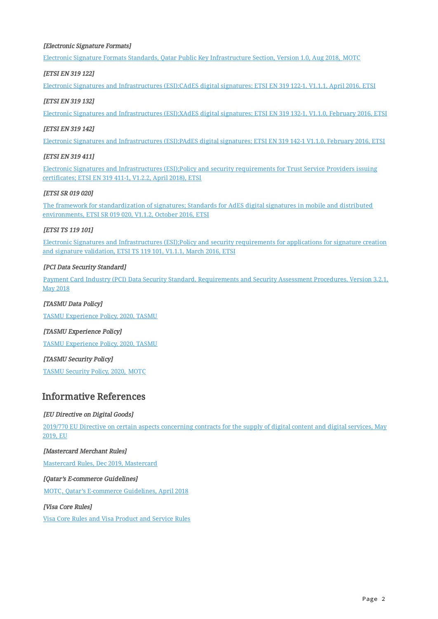#### <span id="page-1-4"></span>[Electronic Signature Formats]

[Electronic Signature Formats Standards, Qatar Public Key Infrastructure Section, Version 1.0, Aug 2018, MOTC](https://www.qcert.org/sites/default/files/public/documents/electronic_signature_formats_standards.pdf)

#### <span id="page-1-5"></span>[ETSI EN 319 122]

[Electronic Signatures and Infrastructures \(ESI\);CAdES digital signatures; ETSI EN 319 122-1, V1.1.1, April 2016, ETSI](https://www.etsi.org/deliver/etsi_en/319100_319199/31912201/01.01.01_60/en_31912201v010101p.pdf)

#### <span id="page-1-6"></span>**[ETSI EN 319 132]**

[Electronic Signatures and Infrastructures \(ESI\);XAdES digital signatures; ETSI EN 319 132-1, V1.1.0, February 2016, ETSI](https://www.etsi.org/deliver/etsi_en/319100_319199/31913201/01.01.00_30/en_31913201v010100v.pdf)

#### <span id="page-1-7"></span>[ETSI EN 319 142]

[Electronic Signatures and Infrastructures \(ESI\);PAdES digital signatures; ETSI EN 319 142-1 V1.1.0, February 2016, ETSI](https://www.etsi.org/deliver/etsi_en/319100_319199/31914201/01.01.00_30/en_31914201v010100v.pdf)

#### <span id="page-1-10"></span>[ETSI EN 319 411]

[Electronic Signatures and Infrastructures \(ESI\);Policy and security requirements for Trust Service Providers issuing](https://www.etsi.org/deliver/etsi_en/319400_319499/31941101/01.02.02_60/en_31941101v010202p.pdf) [certificates; ETSI EN 319 411-1, V1.2.2, April 2018\), ETSI](https://www.etsi.org/deliver/etsi_en/319400_319499/31941101/01.02.02_60/en_31941101v010202p.pdf)

#### <span id="page-1-9"></span>**[ETSI SR 019 020]**

[The framework for standardization of signatures; Standards for AdES digital signatures in mobile and distributed](https://www.etsi.org/deliver/etsi_sr/019000_019099/019020/01.01.02_60/sr_019020v010102p.pdf) [environments, ETSI SR 019 020, V1.1.2, October 2016, ETSI](https://www.etsi.org/deliver/etsi_sr/019000_019099/019020/01.01.02_60/sr_019020v010102p.pdf)

#### <span id="page-1-8"></span>**[ETSI TS 119 101]**

[Electronic Signatures and Infrastructures \(ESI\);Policy and security requirements for applications for signature creation](https://www.etsi.org/deliver/etsi_ts/119100_119199/119101/01.01.01_60/ts_119101v010101p.pdf) [and signature validation, ETSI TS 119 101, V1.1.1, March 2016, ETSI](https://www.etsi.org/deliver/etsi_ts/119100_119199/119101/01.01.01_60/ts_119101v010101p.pdf)

#### <span id="page-1-2"></span>[PCI Data Security Standard]

[Payment Card Industry \(PCI\) Data Security Standard, Requirements and Security Assessment Procedures, Version 3.2.1,](https://www.pcisecuritystandards.org/documents/PCI_DSS_v3-2-1.pdf) [May 2018](https://www.pcisecuritystandards.org/documents/PCI_DSS_v3-2-1.pdf)

#### <span id="page-1-3"></span>[TASMU Data Policy]

[TASMU Experience Policy, 2020, TASMU](file:///home/faz/TiSync/tmp/TASMU/security/TASMU%20Data%20Policy%20v1.0.html)

#### <span id="page-1-1"></span>[TASMU Experience Policy]

[TASMU Experience Policy, 2020, TASMU](file:///home/faz/TiSync/tmp/TASMU/security/TASMU%20Experience%20Policy%20v1.0.html)

#### [TASMU Security Policy]

[TASMU Security Policy, 2020, MOTC](file:///home/faz/TiSync/tmp/TASMU/security/TASMU%20Security%20Policy%20v1.0.html)

## <span id="page-1-0"></span>Informative References

#### [EU Directive on Digital Goods]

[2019/770 EU Directive on certain aspects concerning contracts for the supply of digital content and digital services, May](https://eur-lex.europa.eu/legal-content/EN/TXT/PDF/?uri=CELEX:32019L0770&from=ES) [2019, EU](https://eur-lex.europa.eu/legal-content/EN/TXT/PDF/?uri=CELEX:32019L0770&from=ES)

#### [Mastercard Merchant Rules]

[Mastercard Rules, Dec 2019, Mastercard](https://www.mastercard.us/content/dam/mccom/global/documents/mastercard-rules.pdf)

#### [Qatar's E-commerce Guidelines]

[MOTC, Qatar's E-commerce Guidelines, April 2018](https://www.motc.gov.qa/en/documents/document/qatar-e-commerce-guidelines)

#### [Visa Core Rules]

[Visa Core Rules and Visa Product and Service Rules](https://usa.visa.com/dam/VCOM/download/about-visa/visa-rules-public.pdf)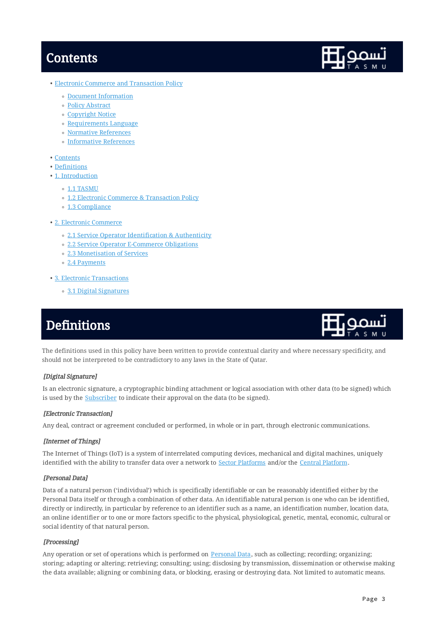# <span id="page-2-0"></span>**Contents**



- <u>• [Electronic Commerce and Transaction Policy](#page-0-0)</u>
	- <u>[Document Information](#page-0-1)</u>
	- <u>[Policy Abstract](#page-0-2)</u>
	- [Copyright Notice](#page-0-3) ◦
	- [Requirements Language](#page-0-4)
	- [Normative References](#page-0-5)
	- [Informative References](#page-1-0) ◦
- <u>[Contents](#page-2-0)</u>
- <u>[Definitions](#page-2-1)</u>
- [1. Introduction](#page-3-1)
	- ∘ [1.1 TASMU](#page-3-2)
	- [1.2 Electronic Commerce & Transaction Policy](#page-5-0) ◦
	- [1.3 Compliance](#page-5-1) ◦
- <u>[2. Electronic Commerce](#page-5-2)</u>
	- [2.1 Service Operator Identification & Authenticity](#page-5-3) ◦
	- [2.2 Service Operator E-Commerce Obligations](#page-6-0) ◦
	- [2.3 Monetisation of Services](#page-6-1) ◦
	- [2.4 Payments](#page-7-0) ◦
- [3. Electronic Transactions](#page-7-1)
	- [3.1 Digital Signatures](#page-8-0) ◦

# <span id="page-2-1"></span>**Definitions**



The definitions used in this policy have been written to provide contextual clarity and where necessary specificity, and should not be interpreted to be contradictory to any laws in the State of Qatar.

#### <span id="page-2-3"></span>[Digital Signature]

Is an electronic signature, a cryptographic binding attachment or logical association with other data (to be signed) which is used by the **[Subscriber](#page-3-3)** to indicate their approval on the data (to be signed).

#### <span id="page-2-6"></span>[Electronic Transaction]

Any deal, contract or agreement concluded or performed, in whole or in part, through electronic communications.

#### <span id="page-2-4"></span>[Internet of Things]

The Internet of Things (IoT) is a system of interrelated computing devices, mechanical and digital machines, uniquely identified with the ability to transfer data over a network to [Sector Platforms](#page-4-0) and/or the [Central Platform.](#page-4-0)

#### <span id="page-2-2"></span>[Personal Data]

Data of a natural person ('individual') which is specifically identifiable or can be reasonably identified either by the Personal Data itself or through a combination of other data. An identifiable natural person is one who can be identified, directly or indirectly, in particular by reference to an identifier such as a name, an identification number, location data, an online identifier or to one or more factors specific to the physical, physiological, genetic, mental, economic, cultural or social identity of that natural person.

#### <span id="page-2-5"></span>[Processing]

Any operation or set of operations which is performed on [Personal Data,](#page-2-2) such as collecting; recording; organizing; storing; adapting or altering; retrieving; consulting; using; disclosing by transmission, dissemination or otherwise making the data available; aligning or combining data, or blocking, erasing or destroying data. Not limited to automatic means.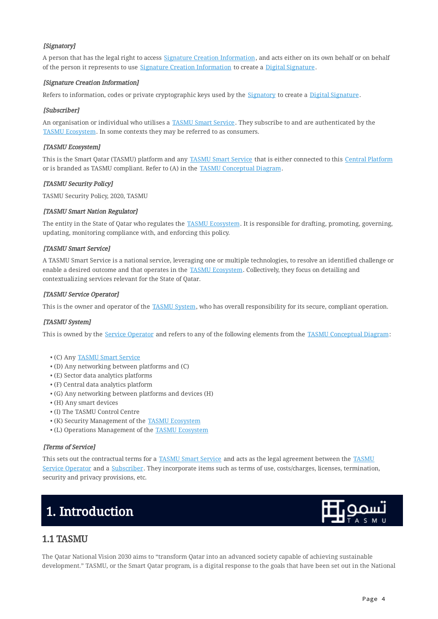#### <span id="page-3-5"></span>[Signatory]

A person that has the legal right to access [Signature Creation Information](#page-3-4), and acts either on its own behalf or on behalf of the person it represents to use [Signature Creation Information](#page-3-4) to create a [Digital Signature](#page-2-3).

#### <span id="page-3-4"></span>[Signature Creation Information]

Refers to information, codes or private cryptographic keys used by the [Signatory](#page-3-5) to create a [Digital Signature](#page-2-3).

#### <span id="page-3-3"></span>[Subscriber]

An organisation or individual who utilises a [TASMU Smart Service](#page-3-6). They subscribe to and are authenticated by the [TASMU Ecosystem.](#page-3-0) In some contexts they may be referred to as consumers.

#### <span id="page-3-0"></span>[TASMU Ecosystem]

This is the Smart Qatar (TASMU) platform and any [TASMU Smart Service](#page-3-6) that is either connected to this [Central Platform](#page-4-1) or is branded as TASMU compliant. Refer to (A) in the [TASMU Conceptual Diagram.](#page-4-0)

#### <span id="page-3-11"></span>[TASMU Security Policy]

TASMU Security Policy, 2020, TASMU

#### <span id="page-3-9"></span>[TASMU Smart Nation Regulator]

The entity in the State of Qatar who regulates the [TASMU Ecosystem.](#page-3-0) It is responsible for drafting, promoting, governing, updating, monitoring compliance with, and enforcing this policy.

#### <span id="page-3-6"></span>[TASMU Smart Service]

A TASMU Smart Service is a national service, leveraging one or multiple technologies, to resolve an identified challenge or enable a desired outcome and that operates in the [TASMU Ecosystem](#page-3-0). Collectively, they focus on detailing and contextualizing services relevant for the State of Qatar.

#### <span id="page-3-8"></span>[TASMU Service Operator]

This is the owner and operator of the [TASMU System](#page-3-7), who has overall responsibility for its secure, compliant operation.

#### <span id="page-3-7"></span>[TASMU System]

This is owned by the [Service Operator](#page-3-8) and refers to any of the following elements from the [TASMU Conceptual Diagram](#page-4-0):

- (C) Any **[TASMU Smart Service](#page-3-6)**
- (D) Any networking between platforms and (C) •
- (E) Sector data analytics platforms •
- (F) Central data analytics platform •
- (G) Any networking between platforms and devices (H) •
- (H) Any smart devices •
- (I) The TASMU Control Centre •
- (K) Security Management of the **TASMU Ecosystem**
- (L) Operations Management of the **[TASMU Ecosystem](#page-3-0)**

#### <span id="page-3-10"></span>[Terms of Service]

This sets out the contractual terms for a [TASMU Smart Service](#page-3-6) and acts as the legal agreement between the [TASMU](#page-3-8) [Service Operator](#page-3-8) and a [Subscriber](#page-3-3). They incorporate items such as terms of use, costs/charges, licenses, termination, security and privacy provisions, etc.

# <span id="page-3-1"></span>1. Introduction



## <span id="page-3-2"></span>1.1 TASMU

The Qatar National Vision 2030 aims to "transform Qatar into an advanced society capable of achieving sustainable development." TASMU, or the Smart Qatar program, is a digital response to the goals that have been set out in the National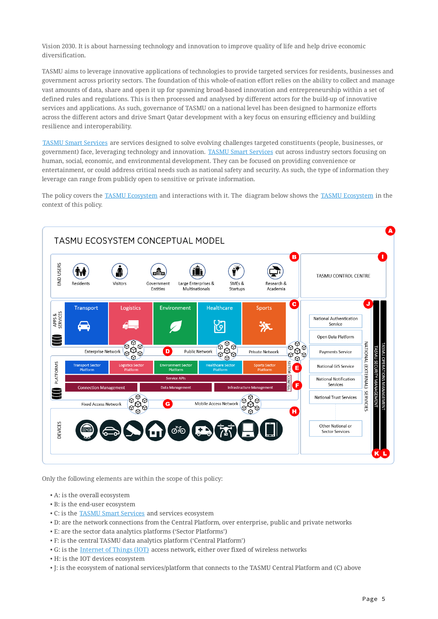Vision 2030. It is about harnessing technology and innovation to improve quality of life and help drive economic diversification.

TASMU aims to leverage innovative applications of technologies to provide targeted services for residents, businesses and government across priority sectors. The foundation of this whole-of-nation effort relies on the ability to collect and manage vast amounts of data, share and open it up for spawning broad-based innovation and entrepreneurship within a set of defined rules and regulations. This is then processed and analysed by different actors for the build-up of innovative services and applications. As such, governance of TASMU on a national level has been designed to harmonize efforts across the different actors and drive Smart Qatar development with a key focus on ensuring efficiency and building resilience and interoperability.

[TASMU Smart Services](#page-3-6) are services designed to solve evolving challenges targeted constituents (people, businesses, or government) face, leveraging technology and innovation. [TASMU Smart Services](#page-3-6) cut across industry sectors focusing on human, social, economic, and environmental development. They can be focused on providing convenience or entertainment, or could address critical needs such as national safety and security. As such, the type of information they leverage can range from publicly open to sensitive or private information.

<span id="page-4-0"></span>The policy covers the [TASMU Ecosystem](#page-3-0) and interactions with it. The diagram below shows the [TASMU Ecosystem](#page-3-0) in the context of this policy.

<span id="page-4-1"></span>

Only the following elements are within the scope of this policy:

- A: is the overall ecosystem •
- B: is the end-user ecosystem •
- C: is the **TASMU Smart Services** and services ecosystem
- D: are the network connections from the Central Platform, over enterprise, public and private networks •
- E: are the sector data analytics platforms ('Sector Platforms') •
- F: is the central TASMU data analytics platform ('Central Platform') •
- $\bullet$  G: is the <u>[Internet of Things \(IOT\)](#page-2-4)</u> access network, either over fixed of wireless networks
- H: is the IOT devices ecosystem •
- $\bullet$  J: is the ecosystem of national services/platform that connects to the TASMU Central Platform and (C) above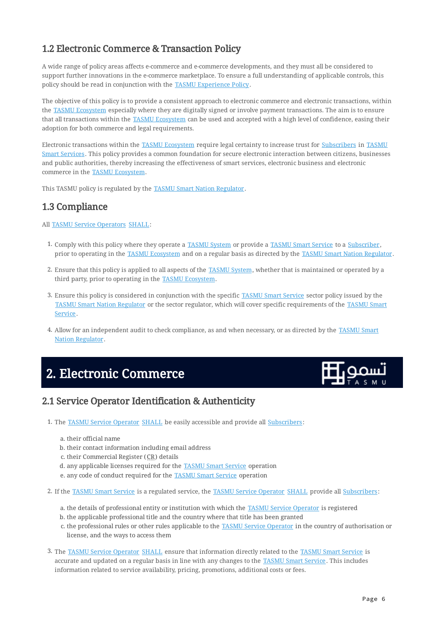# <span id="page-5-0"></span>1.2 Electronic Commerce & Transaction Policy

A wide range of policy areas affects e-commerce and e-commerce developments, and they must all be considered to support further innovations in the e-commerce marketplace. To ensure a full understanding of applicable controls, this policy should be read in conjunction with the [TASMU Experience Policy](#page-1-1).

The objective of this policy is to provide a consistent approach to electronic commerce and electronic transactions, within the [TASMU Ecosystem](#page-3-0) especially where they are digitally signed or involve payment transactions. The aim is to ensure that all transactions within the [TASMU Ecosystem](#page-3-0) can be used and accepted with a high level of confidence, easing their adoption for both commerce and legal requirements.

Electronic transactions within the [TASMU Ecosystem](#page-3-0) require legal certainty to increase trust for [Subscribers](#page-3-3) in [TASMU](#page-3-6) [Smart Services.](#page-3-6) This policy provides a common foundation for secure electronic interaction between citizens, businesses and public authorities, thereby increasing the effectiveness of smart services, electronic business and electronic commerce in the [TASMU Ecosystem.](#page-3-0)

This TASMU policy is regulated by the [TASMU Smart Nation Regulator.](#page-3-9)

# <span id="page-5-1"></span>1.3 Compliance

#### All [TASMU Service Operators](#page-3-8) [SHALL](#page-0-6):

- 1. Comply with this policy where they operate a [TASMU System](#page-3-7) or provide a [TASMU Smart Service](#page-3-6) to a [Subscriber](#page-3-3), prior to operating in the [TASMU Ecosystem](#page-3-0) and on a regular basis as directed by the [TASMU Smart Nation Regulator.](#page-3-9)
- 2. Ensure that this policy is applied to all aspects of the <u>[TASMU System](#page-3-7),</u> whether that is maintained or operated by a third party, prior to operating in the [TASMU Ecosystem.](#page-3-0)
- 3. Ensure this policy is considered in conjunction with the specific [TASMU Smart Service](#page-3-6) sector policy issued by the [TASMU Smart Nation Regulator](#page-3-9) or the sector regulator, which will cover specific requirements of the [TASMU Smart](#page-3-6) [Service](#page-3-6).
- 4. Allow for an independent audit to check compliance, as and when necessary, or as directed by the <u>[TASMU Smart](#page-3-9)</u> [Nation Regulator](#page-3-9).

# <span id="page-5-2"></span>2. Electronic Commerce



## <span id="page-5-3"></span>2.1 Service Operator Identification & Authenticity

- 1. The <u>[TASMU Service Operator](#page-3-8)\_[SHALL](#page-0-6)</u> be easily accessible and provide all <u>Subscribers</u>:
	- a. their official name
	- b. their contact information including email address
	- c. their Commercial Register (CR) details
	- d. any applicable licenses required for the <u>[TASMU Smart Service](#page-3-6)</u> operation
	- e. any code of conduct required for the **TASMU Smart Service** operation
- 2. If the [TASMU Smart Service](#page-3-6) is a regulated service, the [TASMU Service Operator](#page-3-8) [SHALL](#page-0-6) provide all [Subscribers:](#page-3-3)
	- a. the details of professional entity or institution with which the <u>[TASMU Service Operator](#page-3-8)</u> is registered
	- b. the applicable professional title and the country where that title has been granted
	- c. the professional rules or other rules applicable to the **[TASMU Service Operator](#page-3-8)** in the country of authorisation or license, and the ways to access them
- 3. The <u>[TASMU Service Operator](#page-3-8) [SHALL](#page-0-6)</u> ensure that information directly related to the <u>[TASMU Smart Service](#page-3-6)</u> is accurate and updated on a regular basis in line with any changes to the [TASMU Smart Service](#page-3-6). This includes information related to service availability, pricing, promotions, additional costs or fees.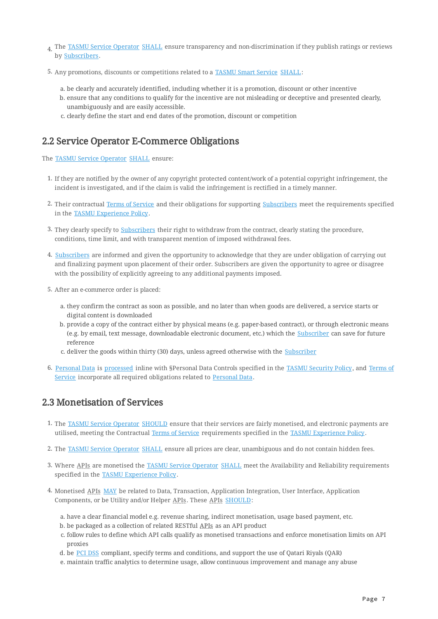- $_{\rm 4.}$  The <u>[TASMU Service Operator](#page-3-8)</u> [SHALL](#page-0-6) ensure transparency and non-discrimination if they publish ratings or reviews by [Subscribers](#page-3-3).
- 5. Any promotions, discounts or competitions related to a [TASMU Smart Service](#page-3-6) [SHALL:](#page-0-6)
	- be clearly and accurately identified, including whether it is a promotion, discount or other incentive a.
	- b. ensure that any conditions to qualify for the incentive are not misleading or deceptive and presented clearly, unambiguously and are easily accessible.
	- c. clearly define the start and end dates of the promotion, discount or competition

## <span id="page-6-0"></span>2.2 Service Operator E-Commerce Obligations

The [TASMU Service Operator](#page-3-8) [SHALL](#page-0-6) ensure:

- If they are notified by the owner of any copyright protected content/work of a potential copyright infringement, the 1. incident is investigated, and if the claim is valid the infringement is rectified in a timely manner.
- 2. Their contractual <u>[Terms of Service](#page-3-10)</u> and their obligations for supporting <u>Subscribers</u> meet the requirements specified in the [TASMU Experience Policy](#page-1-1).
- 3. They clearly specify to <u>Subscribers</u> their right to withdraw from the contract, clearly stating the procedure, conditions, time limit, and with transparent mention of imposed withdrawal fees.
- 4. <u>[Subscribers](#page-3-3)</u> are informed and given the opportunity to acknowledge that they are under obligation of carrying out and finalizing payment upon placement of their order. Subscribers are given the opportunity to agree or disagree with the possibility of explicitly agreeing to any additional payments imposed.
- 5. After an e-commerce order is placed:
	- they confirm the contract as soon as possible, and no later than when goods are delivered, a service starts or a. digital content is downloaded
	- b. provide a copy of the contract either by physical means (e.g. paper-based contract), or through electronic means (e.g. by email, text message, downloadable electronic document, etc.) which the [Subscriber](#page-3-3) can save for future reference
	- c. deliver the goods within thirty (30) days, unless agreed otherwise with the <u>Subscriber</u>
- 6. <u>[Personal Data](#page-2-2)</u> is <u>processed</u> inline with §Personal Data Controls specified in the <u>[TASMU Security Policy](#page-3-11),</u> and <u>[Terms of](#page-3-10)</u> [Service](#page-3-10) incorporate all required obligations related to [Personal Data.](#page-2-2)

## <span id="page-6-1"></span>2.3 Monetisation of Services

- 1. The <u>[TASMU Service Operator](#page-3-8) [SHOULD](#page-0-7)</u> ensure that their services are fairly monetised, and electronic payments are utilised, meeting the Contractual [Terms of Service](#page-3-10) requirements specified in the [TASMU Experience Policy](#page-1-1).
- 2. The <u>[TASMU Service Operator](#page-3-8) [SHALL](#page-0-6)</u> ensure all prices are clear, unambiguous and do not contain hidden fees.
- 3. Where <u>APIs</u> are monetised the [TASMU Service Operator](#page-3-8) [SHALL](#page-0-6) meet the Availability and Reliability requirements specified in the [TASMU Experience Policy](#page-1-1).
- 4. Monetised <u>APIs\_MAY</u> be related to Data, Transaction, Application Integration, User Interface, Application Components, or be Utility and/or Helper APIs . These APIs [SHOULD:](#page-0-7)
	- have a clear financial model e.g. revenue sharing, indirect monetisation, usage based payment, etc. a.
	- b. be packaged as a collection of related RESTful <u>APIs</u> as an API product
	- c. follow rules to define which API calls qualify as monetised transactions and enforce monetisation limits on API proxies
	- d. be <u>[PCI DSS](#page-1-2)</u> compliant, specify terms and conditions, and support the use of Qatari Riyals (QAR)
	- maintain traffic analytics to determine usage, allow continuous improvement and manage any abuse e.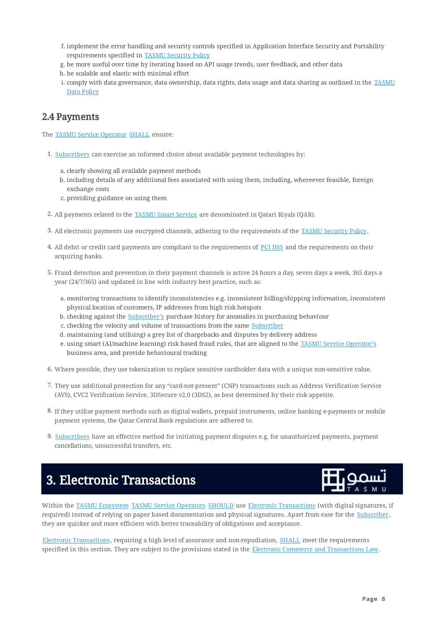- f. implement the error handling and security controls specified in Application Interface Security and Portability requirements specified in [TASMU Security Policy](#page-3-11)
- be more useful over time by iterating based on API usage trends, user feedback, and other data g.
- h. be scalable and elastic with minimal effort
- i. comply with data governance, data ownership, data rights, data usage and data sharing as outlined in the <u>[TASMU](#page-1-3)</u> [Data Policy](#page-1-3)

# <span id="page-7-0"></span>2.4 Payments

The [TASMU Service Operator](#page-3-8) [SHALL](#page-0-6) ensure:

- 1. [Subscribers](#page-3-3) can exercise an informed choice about available payment technologies by:
	- a. clearly showing all available payment methods
	- b. including details of any additional fees associated with using them, including, whereever feasible, foreign exchange costs
	- c. providing guidance on using them
- 2. All payments related to the <u>TASMU Smart Service</u> are denominated in Qatari Riyals (QAR).
- 3. All electronic payments use encrypted channels, adhering to the requirements of the [TASMU Security Policy](#page-3-11).
- 4. All debit or credit card payments are compliant to the requirements of [PCI DSS](#page-1-2) and the requirements on their acquiring banks.
- Fraud detection and prevention in their payment channels is active 24 hours a day, seven days a week, 365 days a 5. year (24/7/365) and updated in line with industry best practice, such as:
	- a. monitoring transactions to identify inconsistencies e.g. inconsistent billing/shipping information, inconsistent physical location of customers, IP addresses from high risk hotspots
	- b. checking against the <u>Subscriber's</u> purchase history for anomalies in purchasing behaviour
	- c. checking the velocity and volume of transactions from the same [Subscriber](#page-3-3)
	- d. maintaining (and utilising) a grey list of chargebacks and disputes by delivery address
	- e. using smart (AI/machine learning) risk based fraud rules, that are aligned to the <u>TASMU Service Operator'</u>s business area, and provide behavioural tracking
- $6.$  Where possible, they use tokenization to replace sensitive cardholder data with a unique non-sensitive value.
- 7. They use additional protection for any "card-not-present" (CNP) transactions such as Address Verification Service (AVS), CVC2 Verification Service, 3DSecure v2.0 (3DS2), as best determined by their risk appetite.
- If they utilise payment methods such as digital wallets, prepaid instruments, online banking e-payments or mobile 8. payment systems, the Qatar Central Bank regulations are adhered to.
- **9.** [Subscribers](#page-3-3) have an effective method for initiating payment disputes e.g. for unauthorized payments, payment cancellations, unsuccessful transfers, etc.

# <span id="page-7-1"></span>3. Electronic Transactions



Within the [TASMU Ecosystem](#page-3-0) [TASMU Service Operators](#page-3-8) [SHOULD](#page-0-7) use [Electronic Transactions](#page-2-6) (with digital signatures, if required) instead of relying on paper based documentation and physical signatures. Apart from ease for the [Subscriber,](#page-3-3) they are quicker and more efficient with better traceability of obligations and acceptance.

[Electronic Transactions](#page-2-6), requiring a high level of assurance and non-repudiation, [SHALL](#page-0-6) meet the requirements specified in this section. They are subject to the provisions stated in the [Electronic Commerce and Transactions Law.](#page-0-9)